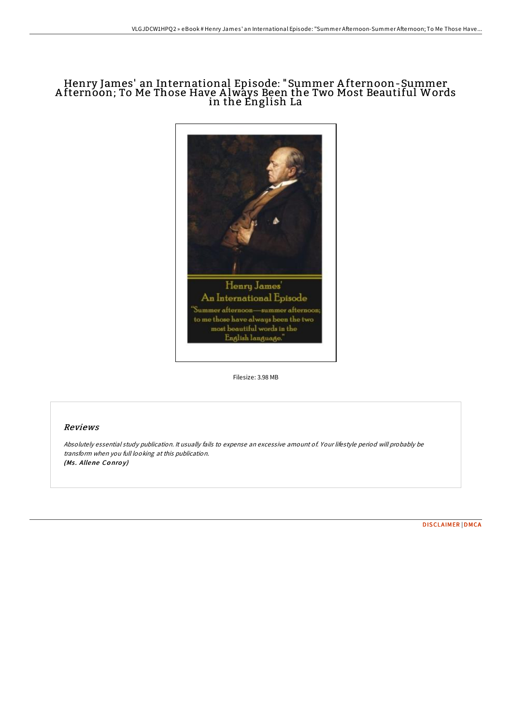# Henry James' an International Episode: "Summer A fternoon-Summer A fternoon; To Me Those Have A lways Been the Two Most Beautiful Words in the English La



Filesize: 3.98 MB

# Reviews

Absolutely essential study publication. It usually fails to expense an excessive amount of. Your lifestyle period will probably be transform when you full looking at this publication. (Ms. Allene Conroy)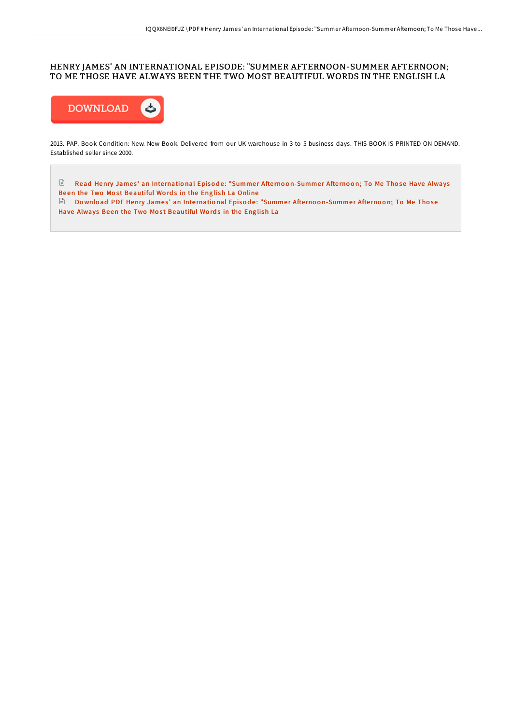## HENRY JAMES' AN INTERNATIONAL EPISODE: "SUMMER AFTERNOON-SUMMER AFTERNOON; TO ME THOSE HAVE ALWAYS BEEN THE TWO MOST BEAUTIFUL WORDS IN THE ENGLISH LA



2013. PAP. Book Condition: New. New Book. Delivered from our UK warehouse in 3 to 5 business days. THIS BOOK IS PRINTED ON DEMAND. Established seller since 2000.

 $\Box$  Read Henry James' an International Episode: "Summer Afternoo[n-Summe](http://almighty24.tech/henry-james-x27-an-international-episode-quot-su.html)r Afternoon; To Me Those Have Always Been the Two Most Beautiful Words in the English La Online

Download PDF Henry James' an International Episode: "Summer Afternoo[n-Summe](http://almighty24.tech/henry-james-x27-an-international-episode-quot-su.html)r Afternoon; To Me Those Have Always Been the Two Most Beautiful Words in the English La